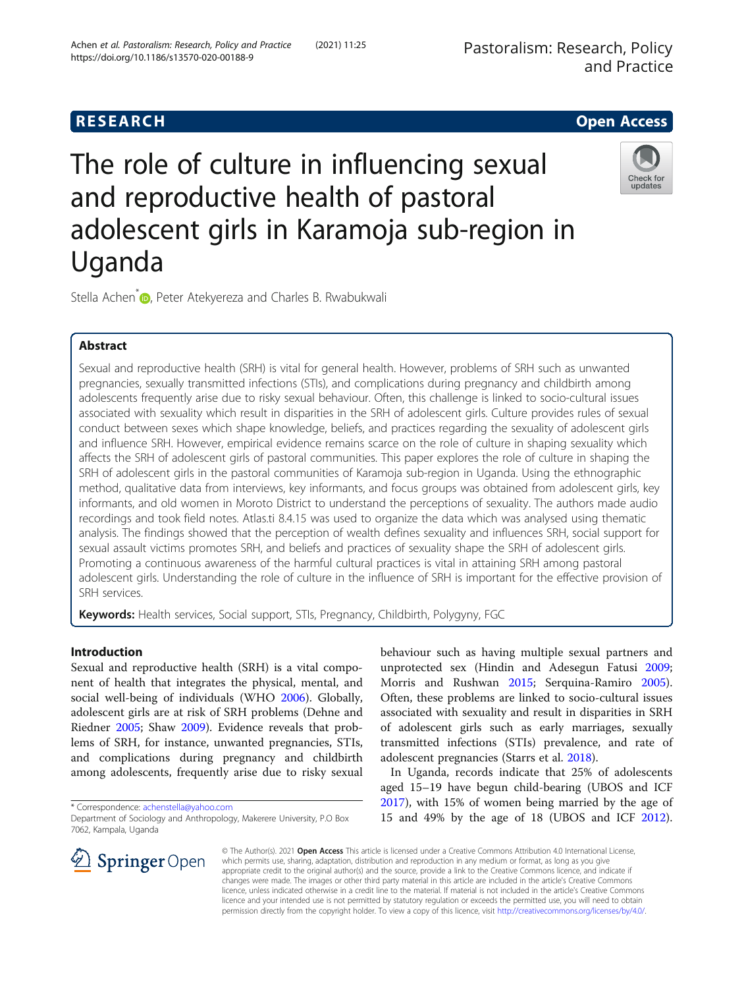# **RESEARCH CHE Open Access**

# The role of culture in influencing sexual and reproductive health of pastoral adolescent girls in Karamoja sub-region in Uganda



Stella Achen<sup>\*</sup> <sub>(b)</sub>, Peter Atekyereza and Charles B. Rwabukwali

# Abstract

Sexual and reproductive health (SRH) is vital for general health. However, problems of SRH such as unwanted pregnancies, sexually transmitted infections (STIs), and complications during pregnancy and childbirth among adolescents frequently arise due to risky sexual behaviour. Often, this challenge is linked to socio-cultural issues associated with sexuality which result in disparities in the SRH of adolescent girls. Culture provides rules of sexual conduct between sexes which shape knowledge, beliefs, and practices regarding the sexuality of adolescent girls and influence SRH. However, empirical evidence remains scarce on the role of culture in shaping sexuality which affects the SRH of adolescent girls of pastoral communities. This paper explores the role of culture in shaping the SRH of adolescent girls in the pastoral communities of Karamoja sub-region in Uganda. Using the ethnographic method, qualitative data from interviews, key informants, and focus groups was obtained from adolescent girls, key informants, and old women in Moroto District to understand the perceptions of sexuality. The authors made audio recordings and took field notes. Atlas.ti 8.4.15 was used to organize the data which was analysed using thematic analysis. The findings showed that the perception of wealth defines sexuality and influences SRH, social support for sexual assault victims promotes SRH, and beliefs and practices of sexuality shape the SRH of adolescent girls. Promoting a continuous awareness of the harmful cultural practices is vital in attaining SRH among pastoral adolescent girls. Understanding the role of culture in the influence of SRH is important for the effective provision of SRH services.

Keywords: Health services, Social support, STIs, Pregnancy, Childbirth, Polygyny, FGC

## Introduction

Sexual and reproductive health (SRH) is a vital component of health that integrates the physical, mental, and social well-being of individuals (WHO [2006\)](#page-10-0). Globally, adolescent girls are at risk of SRH problems (Dehne and Riedner [2005](#page-9-0); Shaw [2009\)](#page-9-0). Evidence reveals that problems of SRH, for instance, unwanted pregnancies, STIs, and complications during pregnancy and childbirth among adolescents, frequently arise due to risky sexual

\* Correspondence: [achenstella@yahoo.com](mailto:achenstella@yahoo.com)

behaviour such as having multiple sexual partners and unprotected sex (Hindin and Adesegun Fatusi [2009](#page-9-0); Morris and Rushwan [2015;](#page-9-0) Serquina-Ramiro [2005](#page-9-0)). Often, these problems are linked to socio-cultural issues associated with sexuality and result in disparities in SRH of adolescent girls such as early marriages, sexually transmitted infections (STIs) prevalence, and rate of adolescent pregnancies (Starrs et al. [2018\)](#page-9-0).

In Uganda, records indicate that 25% of adolescents aged 15–19 have begun child-bearing (UBOS and ICF [2017](#page-10-0)), with 15% of women being married by the age of 15 and 49% by the age of 18 (UBOS and ICF [2012](#page-10-0)).



© The Author(s). 2021 Open Access This article is licensed under a Creative Commons Attribution 4.0 International License, which permits use, sharing, adaptation, distribution and reproduction in any medium or format, as long as you give appropriate credit to the original author(s) and the source, provide a link to the Creative Commons licence, and indicate if changes were made. The images or other third party material in this article are included in the article's Creative Commons licence, unless indicated otherwise in a credit line to the material. If material is not included in the article's Creative Commons licence and your intended use is not permitted by statutory regulation or exceeds the permitted use, you will need to obtain permission directly from the copyright holder. To view a copy of this licence, visit <http://creativecommons.org/licenses/by/4.0/>.

Department of Sociology and Anthropology, Makerere University, P.O Box 7062, Kampala, Uganda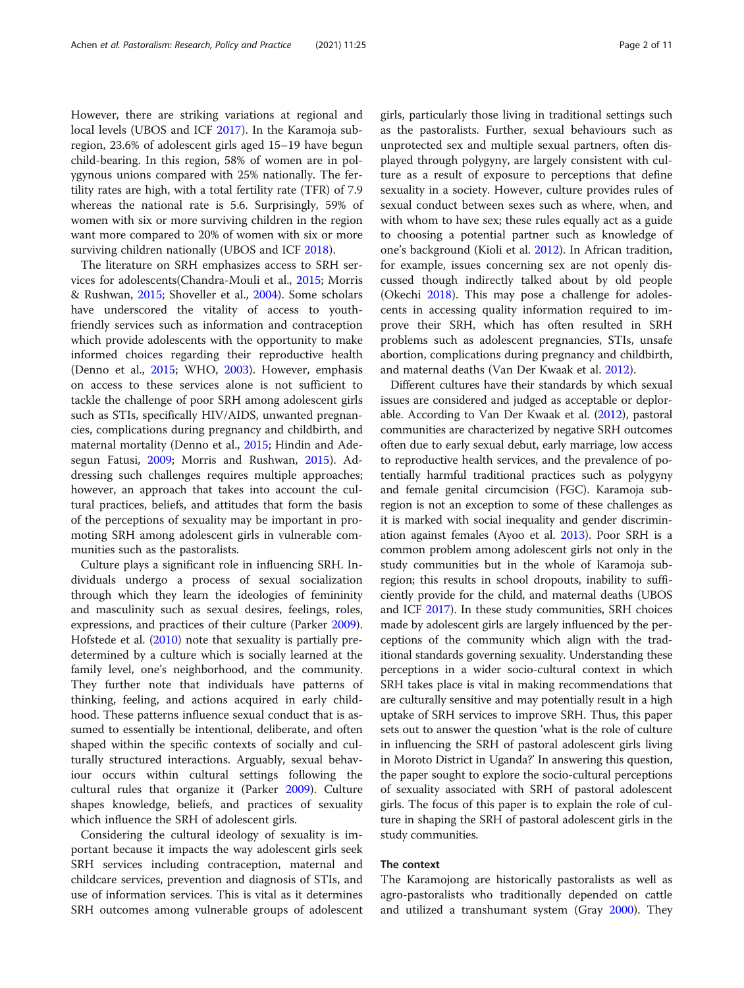However, there are striking variations at regional and local levels (UBOS and ICF [2017](#page-10-0)). In the Karamoja subregion, 23.6% of adolescent girls aged 15–19 have begun child-bearing. In this region, 58% of women are in polygynous unions compared with 25% nationally. The fertility rates are high, with a total fertility rate (TFR) of 7.9 whereas the national rate is 5.6. Surprisingly, 59% of women with six or more surviving children in the region want more compared to 20% of women with six or more surviving children nationally (UBOS and ICF [2018](#page-10-0)).

The literature on SRH emphasizes access to SRH services for adolescents(Chandra-Mouli et al., [2015;](#page-9-0) Morris & Rushwan, [2015;](#page-9-0) Shoveller et al., [2004](#page-9-0)). Some scholars have underscored the vitality of access to youthfriendly services such as information and contraception which provide adolescents with the opportunity to make informed choices regarding their reproductive health (Denno et al., [2015](#page-9-0); WHO, [2003](#page-10-0)). However, emphasis on access to these services alone is not sufficient to tackle the challenge of poor SRH among adolescent girls such as STIs, specifically HIV/AIDS, unwanted pregnancies, complications during pregnancy and childbirth, and maternal mortality (Denno et al., [2015](#page-9-0); Hindin and Adesegun Fatusi, [2009;](#page-9-0) Morris and Rushwan, [2015\)](#page-9-0). Addressing such challenges requires multiple approaches; however, an approach that takes into account the cultural practices, beliefs, and attitudes that form the basis of the perceptions of sexuality may be important in promoting SRH among adolescent girls in vulnerable communities such as the pastoralists.

Culture plays a significant role in influencing SRH. Individuals undergo a process of sexual socialization through which they learn the ideologies of femininity and masculinity such as sexual desires, feelings, roles, expressions, and practices of their culture (Parker [2009](#page-9-0)). Hofstede et al. ([2010](#page-9-0)) note that sexuality is partially predetermined by a culture which is socially learned at the family level, one's neighborhood, and the community. They further note that individuals have patterns of thinking, feeling, and actions acquired in early childhood. These patterns influence sexual conduct that is assumed to essentially be intentional, deliberate, and often shaped within the specific contexts of socially and culturally structured interactions. Arguably, sexual behaviour occurs within cultural settings following the cultural rules that organize it (Parker [2009](#page-9-0)). Culture shapes knowledge, beliefs, and practices of sexuality which influence the SRH of adolescent girls.

Considering the cultural ideology of sexuality is important because it impacts the way adolescent girls seek SRH services including contraception, maternal and childcare services, prevention and diagnosis of STIs, and use of information services. This is vital as it determines SRH outcomes among vulnerable groups of adolescent girls, particularly those living in traditional settings such as the pastoralists. Further, sexual behaviours such as unprotected sex and multiple sexual partners, often displayed through polygyny, are largely consistent with culture as a result of exposure to perceptions that define sexuality in a society. However, culture provides rules of sexual conduct between sexes such as where, when, and with whom to have sex; these rules equally act as a guide to choosing a potential partner such as knowledge of one's background (Kioli et al. [2012\)](#page-9-0). In African tradition, for example, issues concerning sex are not openly discussed though indirectly talked about by old people (Okechi [2018\)](#page-9-0). This may pose a challenge for adolescents in accessing quality information required to improve their SRH, which has often resulted in SRH problems such as adolescent pregnancies, STIs, unsafe abortion, complications during pregnancy and childbirth, and maternal deaths (Van Der Kwaak et al. [2012](#page-10-0)).

Different cultures have their standards by which sexual issues are considered and judged as acceptable or deplorable. According to Van Der Kwaak et al. ([2012](#page-10-0)), pastoral communities are characterized by negative SRH outcomes often due to early sexual debut, early marriage, low access to reproductive health services, and the prevalence of potentially harmful traditional practices such as polygyny and female genital circumcision (FGC). Karamoja subregion is not an exception to some of these challenges as it is marked with social inequality and gender discrimination against females (Ayoo et al. [2013](#page-9-0)). Poor SRH is a common problem among adolescent girls not only in the study communities but in the whole of Karamoja subregion; this results in school dropouts, inability to sufficiently provide for the child, and maternal deaths (UBOS and ICF [2017](#page-10-0)). In these study communities, SRH choices made by adolescent girls are largely influenced by the perceptions of the community which align with the traditional standards governing sexuality. Understanding these perceptions in a wider socio-cultural context in which SRH takes place is vital in making recommendations that are culturally sensitive and may potentially result in a high uptake of SRH services to improve SRH. Thus, this paper sets out to answer the question 'what is the role of culture in influencing the SRH of pastoral adolescent girls living in Moroto District in Uganda?' In answering this question, the paper sought to explore the socio-cultural perceptions of sexuality associated with SRH of pastoral adolescent girls. The focus of this paper is to explain the role of culture in shaping the SRH of pastoral adolescent girls in the study communities.

#### The context

The Karamojong are historically pastoralists as well as agro-pastoralists who traditionally depended on cattle and utilized a transhumant system (Gray [2000](#page-9-0)). They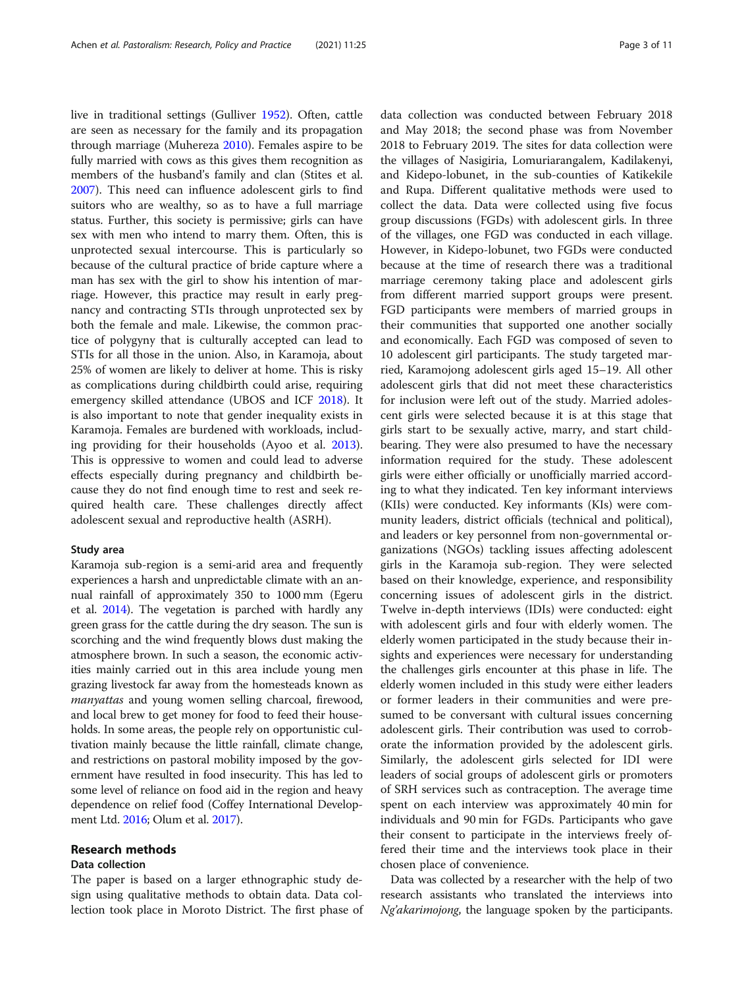live in traditional settings (Gulliver [1952\)](#page-9-0). Often, cattle are seen as necessary for the family and its propagation through marriage (Muhereza [2010](#page-9-0)). Females aspire to be fully married with cows as this gives them recognition as members of the husband's family and clan (Stites et al. [2007](#page-9-0)). This need can influence adolescent girls to find suitors who are wealthy, so as to have a full marriage status. Further, this society is permissive; girls can have sex with men who intend to marry them. Often, this is unprotected sexual intercourse. This is particularly so because of the cultural practice of bride capture where a man has sex with the girl to show his intention of marriage. However, this practice may result in early pregnancy and contracting STIs through unprotected sex by both the female and male. Likewise, the common practice of polygyny that is culturally accepted can lead to STIs for all those in the union. Also, in Karamoja, about 25% of women are likely to deliver at home. This is risky as complications during childbirth could arise, requiring emergency skilled attendance (UBOS and ICF [2018\)](#page-10-0). It is also important to note that gender inequality exists in Karamoja. Females are burdened with workloads, including providing for their households (Ayoo et al. [2013](#page-9-0)). This is oppressive to women and could lead to adverse effects especially during pregnancy and childbirth because they do not find enough time to rest and seek required health care. These challenges directly affect adolescent sexual and reproductive health (ASRH).

#### Study area

Karamoja sub-region is a semi-arid area and frequently experiences a harsh and unpredictable climate with an annual rainfall of approximately 350 to 1000 mm (Egeru et al. [2014](#page-9-0)). The vegetation is parched with hardly any green grass for the cattle during the dry season. The sun is scorching and the wind frequently blows dust making the atmosphere brown. In such a season, the economic activities mainly carried out in this area include young men grazing livestock far away from the homesteads known as manyattas and young women selling charcoal, firewood, and local brew to get money for food to feed their households. In some areas, the people rely on opportunistic cultivation mainly because the little rainfall, climate change, and restrictions on pastoral mobility imposed by the government have resulted in food insecurity. This has led to some level of reliance on food aid in the region and heavy dependence on relief food (Coffey International Development Ltd. [2016;](#page-9-0) Olum et al. [2017](#page-9-0)).

#### Research methods

#### Data collection

The paper is based on a larger ethnographic study design using qualitative methods to obtain data. Data collection took place in Moroto District. The first phase of data collection was conducted between February 2018 and May 2018; the second phase was from November 2018 to February 2019. The sites for data collection were the villages of Nasigiria, Lomuriarangalem, Kadilakenyi, and Kidepo-lobunet, in the sub-counties of Katikekile and Rupa. Different qualitative methods were used to collect the data. Data were collected using five focus group discussions (FGDs) with adolescent girls. In three of the villages, one FGD was conducted in each village. However, in Kidepo-lobunet, two FGDs were conducted because at the time of research there was a traditional marriage ceremony taking place and adolescent girls from different married support groups were present. FGD participants were members of married groups in their communities that supported one another socially and economically. Each FGD was composed of seven to 10 adolescent girl participants. The study targeted married, Karamojong adolescent girls aged 15–19. All other adolescent girls that did not meet these characteristics for inclusion were left out of the study. Married adolescent girls were selected because it is at this stage that girls start to be sexually active, marry, and start childbearing. They were also presumed to have the necessary information required for the study. These adolescent girls were either officially or unofficially married according to what they indicated. Ten key informant interviews (KIIs) were conducted. Key informants (KIs) were community leaders, district officials (technical and political), and leaders or key personnel from non-governmental organizations (NGOs) tackling issues affecting adolescent girls in the Karamoja sub-region. They were selected based on their knowledge, experience, and responsibility concerning issues of adolescent girls in the district. Twelve in-depth interviews (IDIs) were conducted: eight with adolescent girls and four with elderly women. The elderly women participated in the study because their insights and experiences were necessary for understanding the challenges girls encounter at this phase in life. The elderly women included in this study were either leaders or former leaders in their communities and were presumed to be conversant with cultural issues concerning adolescent girls. Their contribution was used to corroborate the information provided by the adolescent girls. Similarly, the adolescent girls selected for IDI were leaders of social groups of adolescent girls or promoters of SRH services such as contraception. The average time spent on each interview was approximately 40 min for individuals and 90 min for FGDs. Participants who gave their consent to participate in the interviews freely offered their time and the interviews took place in their chosen place of convenience.

Data was collected by a researcher with the help of two research assistants who translated the interviews into Ng'akarimojong, the language spoken by the participants.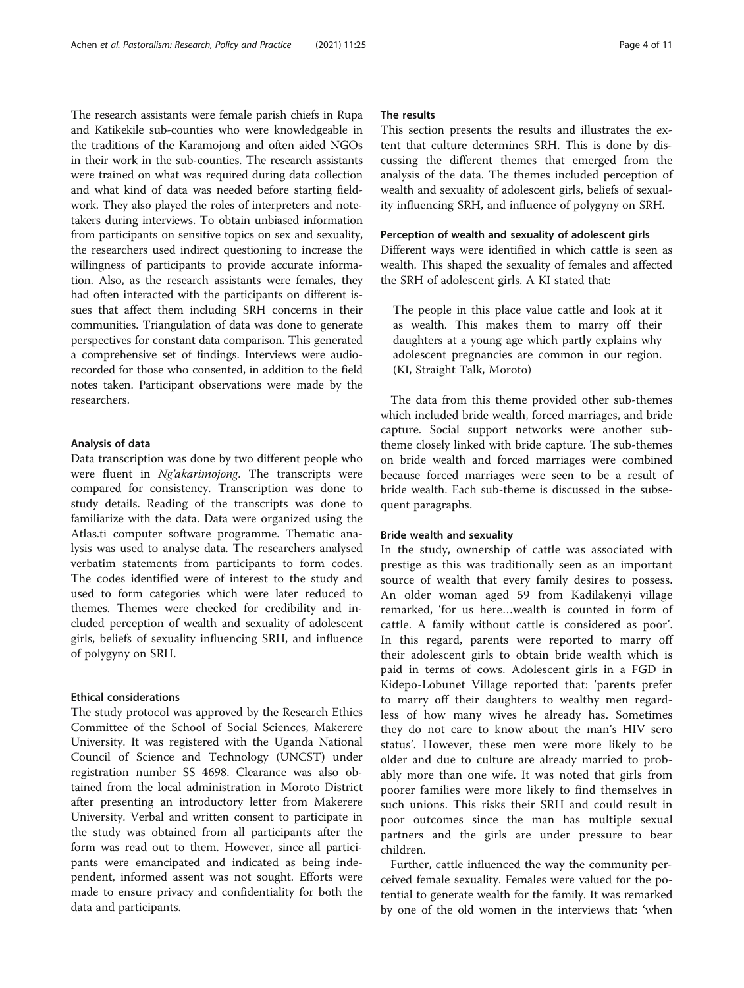The research assistants were female parish chiefs in Rupa and Katikekile sub-counties who were knowledgeable in the traditions of the Karamojong and often aided NGOs in their work in the sub-counties. The research assistants were trained on what was required during data collection and what kind of data was needed before starting fieldwork. They also played the roles of interpreters and notetakers during interviews. To obtain unbiased information from participants on sensitive topics on sex and sexuality, the researchers used indirect questioning to increase the willingness of participants to provide accurate information. Also, as the research assistants were females, they had often interacted with the participants on different issues that affect them including SRH concerns in their communities. Triangulation of data was done to generate perspectives for constant data comparison. This generated a comprehensive set of findings. Interviews were audiorecorded for those who consented, in addition to the field notes taken. Participant observations were made by the researchers.

#### Analysis of data

Data transcription was done by two different people who were fluent in Ng'akarimojong. The transcripts were compared for consistency. Transcription was done to study details. Reading of the transcripts was done to familiarize with the data. Data were organized using the Atlas.ti computer software programme. Thematic analysis was used to analyse data. The researchers analysed verbatim statements from participants to form codes. The codes identified were of interest to the study and used to form categories which were later reduced to themes. Themes were checked for credibility and included perception of wealth and sexuality of adolescent girls, beliefs of sexuality influencing SRH, and influence of polygyny on SRH.

#### Ethical considerations

The study protocol was approved by the Research Ethics Committee of the School of Social Sciences, Makerere University. It was registered with the Uganda National Council of Science and Technology (UNCST) under registration number SS 4698. Clearance was also obtained from the local administration in Moroto District after presenting an introductory letter from Makerere University. Verbal and written consent to participate in the study was obtained from all participants after the form was read out to them. However, since all participants were emancipated and indicated as being independent, informed assent was not sought. Efforts were made to ensure privacy and confidentiality for both the data and participants.

#### The results

This section presents the results and illustrates the extent that culture determines SRH. This is done by discussing the different themes that emerged from the analysis of the data. The themes included perception of wealth and sexuality of adolescent girls, beliefs of sexuality influencing SRH, and influence of polygyny on SRH.

#### Perception of wealth and sexuality of adolescent girls

Different ways were identified in which cattle is seen as wealth. This shaped the sexuality of females and affected the SRH of adolescent girls. A KI stated that:

The people in this place value cattle and look at it as wealth. This makes them to marry off their daughters at a young age which partly explains why adolescent pregnancies are common in our region. (KI, Straight Talk, Moroto)

The data from this theme provided other sub-themes which included bride wealth, forced marriages, and bride capture. Social support networks were another subtheme closely linked with bride capture. The sub-themes on bride wealth and forced marriages were combined because forced marriages were seen to be a result of bride wealth. Each sub-theme is discussed in the subsequent paragraphs.

#### Bride wealth and sexuality

In the study, ownership of cattle was associated with prestige as this was traditionally seen as an important source of wealth that every family desires to possess. An older woman aged 59 from Kadilakenyi village remarked, 'for us here…wealth is counted in form of cattle. A family without cattle is considered as poor'. In this regard, parents were reported to marry off their adolescent girls to obtain bride wealth which is paid in terms of cows. Adolescent girls in a FGD in Kidepo-Lobunet Village reported that: 'parents prefer to marry off their daughters to wealthy men regardless of how many wives he already has. Sometimes they do not care to know about the man's HIV sero status'. However, these men were more likely to be older and due to culture are already married to probably more than one wife. It was noted that girls from poorer families were more likely to find themselves in such unions. This risks their SRH and could result in poor outcomes since the man has multiple sexual partners and the girls are under pressure to bear children.

Further, cattle influenced the way the community perceived female sexuality. Females were valued for the potential to generate wealth for the family. It was remarked by one of the old women in the interviews that: 'when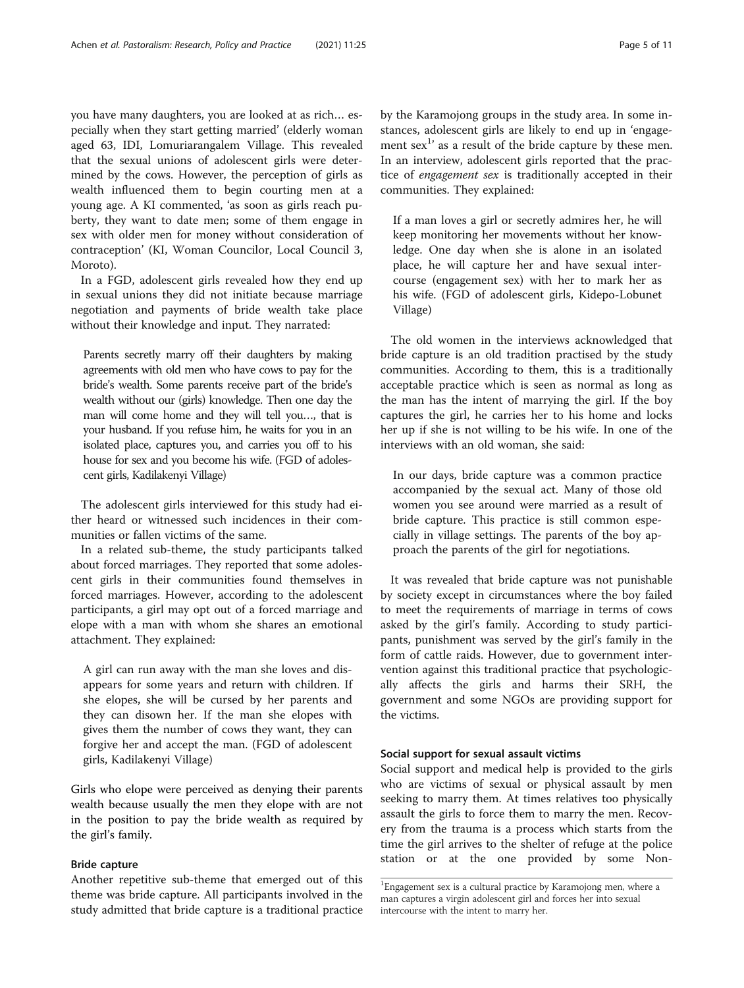you have many daughters, you are looked at as rich… especially when they start getting married' (elderly woman aged 63, IDI, Lomuriarangalem Village. This revealed that the sexual unions of adolescent girls were determined by the cows. However, the perception of girls as wealth influenced them to begin courting men at a young age. A KI commented, 'as soon as girls reach puberty, they want to date men; some of them engage in sex with older men for money without consideration of contraception' (KI, Woman Councilor, Local Council 3, Moroto).

In a FGD, adolescent girls revealed how they end up in sexual unions they did not initiate because marriage negotiation and payments of bride wealth take place without their knowledge and input. They narrated:

Parents secretly marry off their daughters by making agreements with old men who have cows to pay for the bride's wealth. Some parents receive part of the bride's wealth without our (girls) knowledge. Then one day the man will come home and they will tell you…, that is your husband. If you refuse him, he waits for you in an isolated place, captures you, and carries you off to his house for sex and you become his wife. (FGD of adolescent girls, Kadilakenyi Village)

The adolescent girls interviewed for this study had either heard or witnessed such incidences in their communities or fallen victims of the same.

In a related sub-theme, the study participants talked about forced marriages. They reported that some adolescent girls in their communities found themselves in forced marriages. However, according to the adolescent participants, a girl may opt out of a forced marriage and elope with a man with whom she shares an emotional attachment. They explained:

A girl can run away with the man she loves and disappears for some years and return with children. If she elopes, she will be cursed by her parents and they can disown her. If the man she elopes with gives them the number of cows they want, they can forgive her and accept the man. (FGD of adolescent girls, Kadilakenyi Village)

Girls who elope were perceived as denying their parents wealth because usually the men they elope with are not in the position to pay the bride wealth as required by the girl's family.

#### Bride capture

Another repetitive sub-theme that emerged out of this theme was bride capture. All participants involved in the study admitted that bride capture is a traditional practice by the Karamojong groups in the study area. In some instances, adolescent girls are likely to end up in 'engagement  $sex<sup>1</sup>$  as a result of the bride capture by these men. In an interview, adolescent girls reported that the practice of engagement sex is traditionally accepted in their communities. They explained:

If a man loves a girl or secretly admires her, he will keep monitoring her movements without her knowledge. One day when she is alone in an isolated place, he will capture her and have sexual intercourse (engagement sex) with her to mark her as his wife. (FGD of adolescent girls, Kidepo-Lobunet Village)

The old women in the interviews acknowledged that bride capture is an old tradition practised by the study communities. According to them, this is a traditionally acceptable practice which is seen as normal as long as the man has the intent of marrying the girl. If the boy captures the girl, he carries her to his home and locks her up if she is not willing to be his wife. In one of the interviews with an old woman, she said:

In our days, bride capture was a common practice accompanied by the sexual act. Many of those old women you see around were married as a result of bride capture. This practice is still common especially in village settings. The parents of the boy approach the parents of the girl for negotiations.

It was revealed that bride capture was not punishable by society except in circumstances where the boy failed to meet the requirements of marriage in terms of cows asked by the girl's family. According to study participants, punishment was served by the girl's family in the form of cattle raids. However, due to government intervention against this traditional practice that psychologically affects the girls and harms their SRH, the government and some NGOs are providing support for the victims.

#### Social support for sexual assault victims

Social support and medical help is provided to the girls who are victims of sexual or physical assault by men seeking to marry them. At times relatives too physically assault the girls to force them to marry the men. Recovery from the trauma is a process which starts from the time the girl arrives to the shelter of refuge at the police station or at the one provided by some Non-

<sup>1</sup> Engagement sex is a cultural practice by Karamojong men, where a man captures a virgin adolescent girl and forces her into sexual intercourse with the intent to marry her.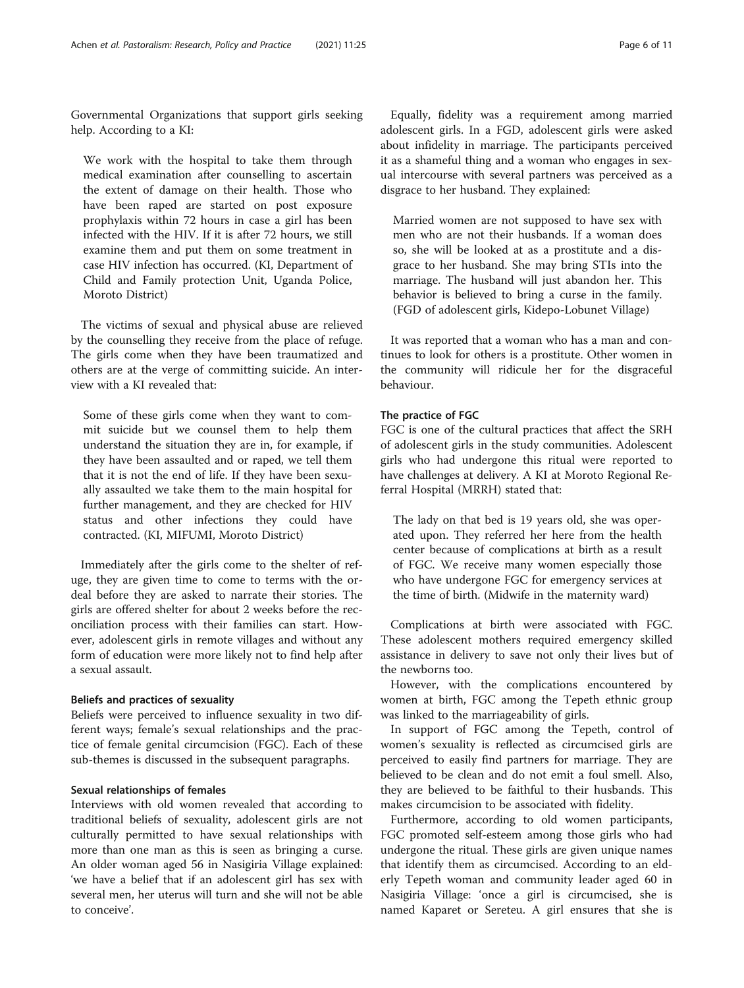Governmental Organizations that support girls seeking help. According to a KI:

We work with the hospital to take them through medical examination after counselling to ascertain the extent of damage on their health. Those who have been raped are started on post exposure prophylaxis within 72 hours in case a girl has been infected with the HIV. If it is after 72 hours, we still examine them and put them on some treatment in case HIV infection has occurred. (KI, Department of Child and Family protection Unit, Uganda Police, Moroto District)

The victims of sexual and physical abuse are relieved by the counselling they receive from the place of refuge. The girls come when they have been traumatized and others are at the verge of committing suicide. An interview with a KI revealed that:

Some of these girls come when they want to commit suicide but we counsel them to help them understand the situation they are in, for example, if they have been assaulted and or raped, we tell them that it is not the end of life. If they have been sexually assaulted we take them to the main hospital for further management, and they are checked for HIV status and other infections they could have contracted. (KI, MIFUMI, Moroto District)

Immediately after the girls come to the shelter of refuge, they are given time to come to terms with the ordeal before they are asked to narrate their stories. The girls are offered shelter for about 2 weeks before the reconciliation process with their families can start. However, adolescent girls in remote villages and without any form of education were more likely not to find help after a sexual assault.

## Beliefs and practices of sexuality

Beliefs were perceived to influence sexuality in two different ways; female's sexual relationships and the practice of female genital circumcision (FGC). Each of these sub-themes is discussed in the subsequent paragraphs.

### Sexual relationships of females

Interviews with old women revealed that according to traditional beliefs of sexuality, adolescent girls are not culturally permitted to have sexual relationships with more than one man as this is seen as bringing a curse. An older woman aged 56 in Nasigiria Village explained: 'we have a belief that if an adolescent girl has sex with several men, her uterus will turn and she will not be able to conceive'.

Equally, fidelity was a requirement among married adolescent girls. In a FGD, adolescent girls were asked about infidelity in marriage. The participants perceived it as a shameful thing and a woman who engages in sexual intercourse with several partners was perceived as a disgrace to her husband. They explained:

Married women are not supposed to have sex with men who are not their husbands. If a woman does so, she will be looked at as a prostitute and a disgrace to her husband. She may bring STIs into the marriage. The husband will just abandon her. This behavior is believed to bring a curse in the family. (FGD of adolescent girls, Kidepo-Lobunet Village)

It was reported that a woman who has a man and continues to look for others is a prostitute. Other women in the community will ridicule her for the disgraceful behaviour.

### The practice of FGC

FGC is one of the cultural practices that affect the SRH of adolescent girls in the study communities. Adolescent girls who had undergone this ritual were reported to have challenges at delivery. A KI at Moroto Regional Referral Hospital (MRRH) stated that:

The lady on that bed is 19 years old, she was operated upon. They referred her here from the health center because of complications at birth as a result of FGC. We receive many women especially those who have undergone FGC for emergency services at the time of birth. (Midwife in the maternity ward)

Complications at birth were associated with FGC. These adolescent mothers required emergency skilled assistance in delivery to save not only their lives but of the newborns too.

However, with the complications encountered by women at birth, FGC among the Tepeth ethnic group was linked to the marriageability of girls.

In support of FGC among the Tepeth, control of women's sexuality is reflected as circumcised girls are perceived to easily find partners for marriage. They are believed to be clean and do not emit a foul smell. Also, they are believed to be faithful to their husbands. This makes circumcision to be associated with fidelity.

Furthermore, according to old women participants, FGC promoted self-esteem among those girls who had undergone the ritual. These girls are given unique names that identify them as circumcised. According to an elderly Tepeth woman and community leader aged 60 in Nasigiria Village: 'once a girl is circumcised, she is named Kaparet or Sereteu. A girl ensures that she is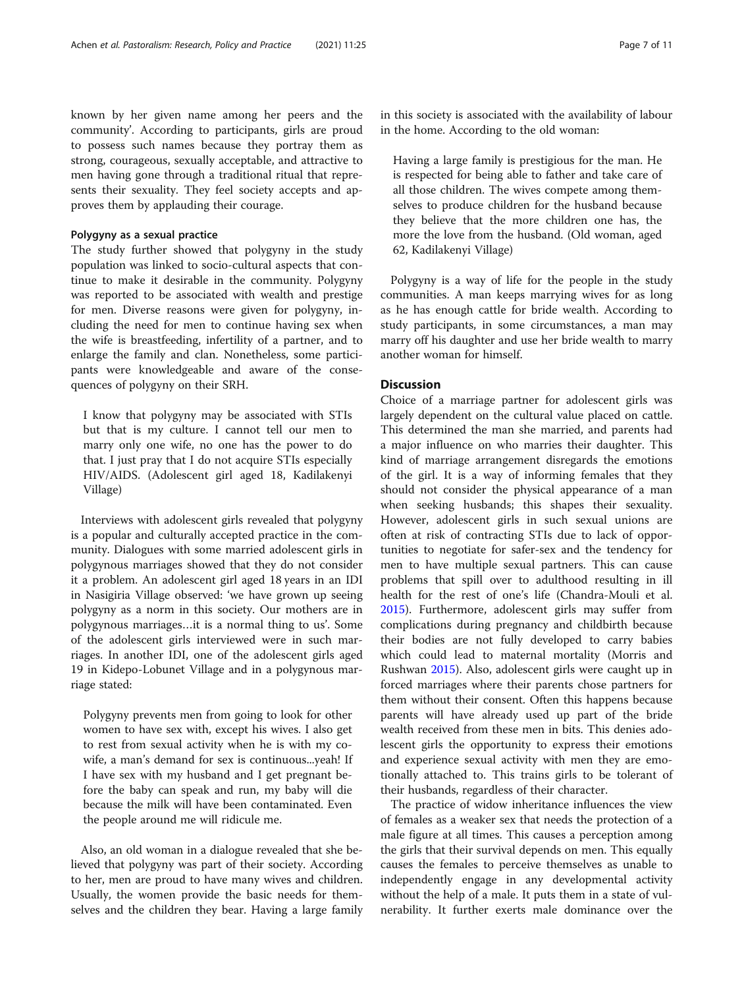known by her given name among her peers and the community'. According to participants, girls are proud to possess such names because they portray them as strong, courageous, sexually acceptable, and attractive to men having gone through a traditional ritual that represents their sexuality. They feel society accepts and approves them by applauding their courage.

#### Polygyny as a sexual practice

The study further showed that polygyny in the study population was linked to socio-cultural aspects that continue to make it desirable in the community. Polygyny was reported to be associated with wealth and prestige for men. Diverse reasons were given for polygyny, including the need for men to continue having sex when the wife is breastfeeding, infertility of a partner, and to enlarge the family and clan. Nonetheless, some participants were knowledgeable and aware of the consequences of polygyny on their SRH.

I know that polygyny may be associated with STIs but that is my culture. I cannot tell our men to marry only one wife, no one has the power to do that. I just pray that I do not acquire STIs especially HIV/AIDS. (Adolescent girl aged 18, Kadilakenyi Village)

Interviews with adolescent girls revealed that polygyny is a popular and culturally accepted practice in the community. Dialogues with some married adolescent girls in polygynous marriages showed that they do not consider it a problem. An adolescent girl aged 18 years in an IDI in Nasigiria Village observed: 'we have grown up seeing polygyny as a norm in this society. Our mothers are in polygynous marriages…it is a normal thing to us'. Some of the adolescent girls interviewed were in such marriages. In another IDI, one of the adolescent girls aged 19 in Kidepo-Lobunet Village and in a polygynous marriage stated:

Polygyny prevents men from going to look for other women to have sex with, except his wives. I also get to rest from sexual activity when he is with my cowife, a man's demand for sex is continuous...yeah! If I have sex with my husband and I get pregnant before the baby can speak and run, my baby will die because the milk will have been contaminated. Even the people around me will ridicule me.

Also, an old woman in a dialogue revealed that she believed that polygyny was part of their society. According to her, men are proud to have many wives and children. Usually, the women provide the basic needs for themselves and the children they bear. Having a large family

in this society is associated with the availability of labour in the home. According to the old woman:

Having a large family is prestigious for the man. He is respected for being able to father and take care of all those children. The wives compete among themselves to produce children for the husband because they believe that the more children one has, the more the love from the husband. (Old woman, aged 62, Kadilakenyi Village)

Polygyny is a way of life for the people in the study communities. A man keeps marrying wives for as long as he has enough cattle for bride wealth. According to study participants, in some circumstances, a man may marry off his daughter and use her bride wealth to marry another woman for himself.

#### Discussion

Choice of a marriage partner for adolescent girls was largely dependent on the cultural value placed on cattle. This determined the man she married, and parents had a major influence on who marries their daughter. This kind of marriage arrangement disregards the emotions of the girl. It is a way of informing females that they should not consider the physical appearance of a man when seeking husbands; this shapes their sexuality. However, adolescent girls in such sexual unions are often at risk of contracting STIs due to lack of opportunities to negotiate for safer-sex and the tendency for men to have multiple sexual partners. This can cause problems that spill over to adulthood resulting in ill health for the rest of one's life (Chandra-Mouli et al. [2015](#page-9-0)). Furthermore, adolescent girls may suffer from complications during pregnancy and childbirth because their bodies are not fully developed to carry babies which could lead to maternal mortality (Morris and Rushwan [2015\)](#page-9-0). Also, adolescent girls were caught up in forced marriages where their parents chose partners for them without their consent. Often this happens because parents will have already used up part of the bride wealth received from these men in bits. This denies adolescent girls the opportunity to express their emotions and experience sexual activity with men they are emotionally attached to. This trains girls to be tolerant of their husbands, regardless of their character.

The practice of widow inheritance influences the view of females as a weaker sex that needs the protection of a male figure at all times. This causes a perception among the girls that their survival depends on men. This equally causes the females to perceive themselves as unable to independently engage in any developmental activity without the help of a male. It puts them in a state of vulnerability. It further exerts male dominance over the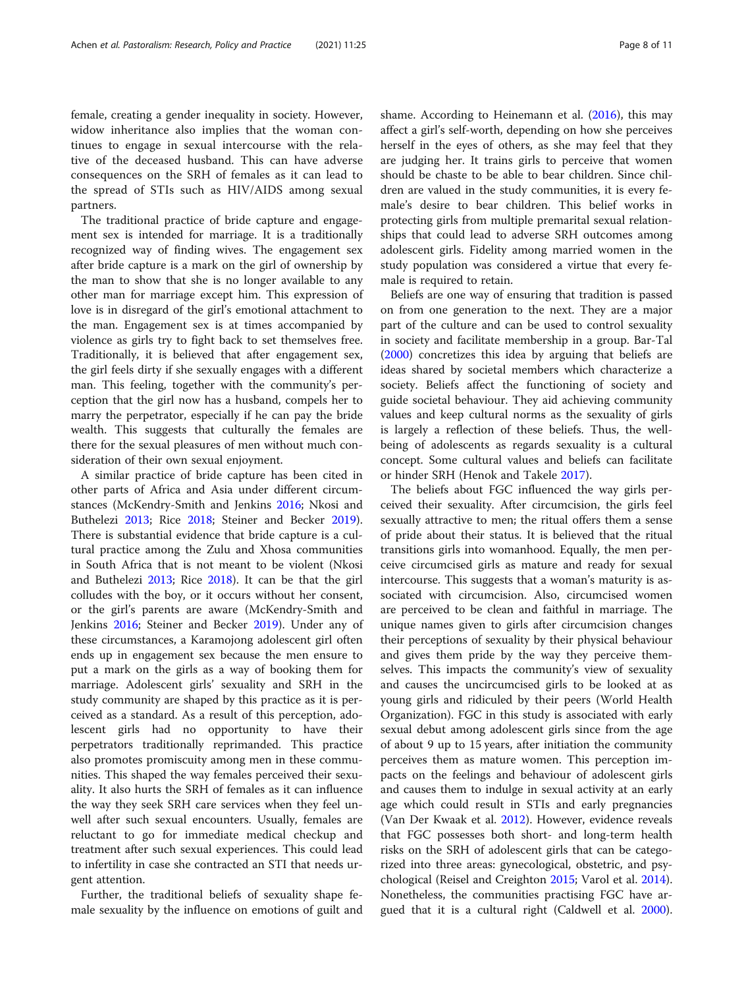female, creating a gender inequality in society. However, widow inheritance also implies that the woman continues to engage in sexual intercourse with the relative of the deceased husband. This can have adverse consequences on the SRH of females as it can lead to the spread of STIs such as HIV/AIDS among sexual partners.

The traditional practice of bride capture and engagement sex is intended for marriage. It is a traditionally recognized way of finding wives. The engagement sex after bride capture is a mark on the girl of ownership by the man to show that she is no longer available to any other man for marriage except him. This expression of love is in disregard of the girl's emotional attachment to the man. Engagement sex is at times accompanied by violence as girls try to fight back to set themselves free. Traditionally, it is believed that after engagement sex, the girl feels dirty if she sexually engages with a different man. This feeling, together with the community's perception that the girl now has a husband, compels her to marry the perpetrator, especially if he can pay the bride wealth. This suggests that culturally the females are there for the sexual pleasures of men without much consideration of their own sexual enjoyment.

A similar practice of bride capture has been cited in other parts of Africa and Asia under different circumstances (McKendry-Smith and Jenkins [2016](#page-9-0); Nkosi and Buthelezi [2013;](#page-9-0) Rice [2018;](#page-9-0) Steiner and Becker [2019](#page-9-0)). There is substantial evidence that bride capture is a cultural practice among the Zulu and Xhosa communities in South Africa that is not meant to be violent (Nkosi and Buthelezi [2013](#page-9-0); Rice [2018](#page-9-0)). It can be that the girl colludes with the boy, or it occurs without her consent, or the girl's parents are aware (McKendry-Smith and Jenkins [2016;](#page-9-0) Steiner and Becker [2019\)](#page-9-0). Under any of these circumstances, a Karamojong adolescent girl often ends up in engagement sex because the men ensure to put a mark on the girls as a way of booking them for marriage. Adolescent girls' sexuality and SRH in the study community are shaped by this practice as it is perceived as a standard. As a result of this perception, adolescent girls had no opportunity to have their perpetrators traditionally reprimanded. This practice also promotes promiscuity among men in these communities. This shaped the way females perceived their sexuality. It also hurts the SRH of females as it can influence the way they seek SRH care services when they feel unwell after such sexual encounters. Usually, females are reluctant to go for immediate medical checkup and treatment after such sexual experiences. This could lead to infertility in case she contracted an STI that needs urgent attention.

Further, the traditional beliefs of sexuality shape female sexuality by the influence on emotions of guilt and shame. According to Heinemann et al. [\(2016\)](#page-9-0), this may affect a girl's self-worth, depending on how she perceives herself in the eyes of others, as she may feel that they are judging her. It trains girls to perceive that women should be chaste to be able to bear children. Since children are valued in the study communities, it is every female's desire to bear children. This belief works in protecting girls from multiple premarital sexual relationships that could lead to adverse SRH outcomes among adolescent girls. Fidelity among married women in the study population was considered a virtue that every female is required to retain.

Beliefs are one way of ensuring that tradition is passed on from one generation to the next. They are a major part of the culture and can be used to control sexuality in society and facilitate membership in a group. Bar-Tal ([2000\)](#page-9-0) concretizes this idea by arguing that beliefs are ideas shared by societal members which characterize a society. Beliefs affect the functioning of society and guide societal behaviour. They aid achieving community values and keep cultural norms as the sexuality of girls is largely a reflection of these beliefs. Thus, the wellbeing of adolescents as regards sexuality is a cultural concept. Some cultural values and beliefs can facilitate or hinder SRH (Henok and Takele [2017\)](#page-9-0).

The beliefs about FGC influenced the way girls perceived their sexuality. After circumcision, the girls feel sexually attractive to men; the ritual offers them a sense of pride about their status. It is believed that the ritual transitions girls into womanhood. Equally, the men perceive circumcised girls as mature and ready for sexual intercourse. This suggests that a woman's maturity is associated with circumcision. Also, circumcised women are perceived to be clean and faithful in marriage. The unique names given to girls after circumcision changes their perceptions of sexuality by their physical behaviour and gives them pride by the way they perceive themselves. This impacts the community's view of sexuality and causes the uncircumcised girls to be looked at as young girls and ridiculed by their peers (World Health Organization). FGC in this study is associated with early sexual debut among adolescent girls since from the age of about 9 up to 15 years, after initiation the community perceives them as mature women. This perception impacts on the feelings and behaviour of adolescent girls and causes them to indulge in sexual activity at an early age which could result in STIs and early pregnancies (Van Der Kwaak et al. [2012\)](#page-10-0). However, evidence reveals that FGC possesses both short- and long-term health risks on the SRH of adolescent girls that can be categorized into three areas: gynecological, obstetric, and psychological (Reisel and Creighton [2015](#page-9-0); Varol et al. [2014](#page-10-0)). Nonetheless, the communities practising FGC have argued that it is a cultural right (Caldwell et al. [2000](#page-9-0)).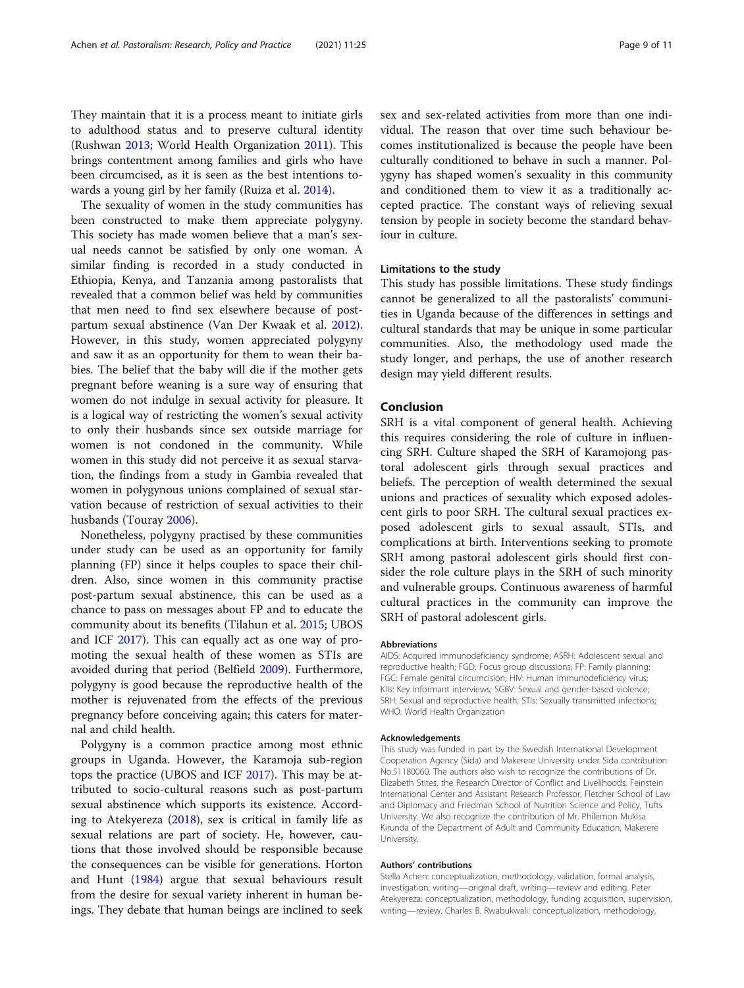They maintain that it is a process meant to initiate girls to adulthood status and to preserve cultural identity (Rushwan [2013](#page-9-0); World Health Organization [2011](#page-10-0)). This brings contentment among families and girls who have been circumcised, as it is seen as the best intentions towards a young girl by her family (Ruiza et al. [2014\)](#page-9-0).

The sexuality of women in the study communities has been constructed to make them appreciate polygyny. This society has made women believe that a man's sexual needs cannot be satisfied by only one woman. A similar finding is recorded in a study conducted in Ethiopia, Kenya, and Tanzania among pastoralists that revealed that a common belief was held by communities that men need to find sex elsewhere because of postpartum sexual abstinence (Van Der Kwaak et al. [2012](#page-10-0)). However, in this study, women appreciated polygyny and saw it as an opportunity for them to wean their babies. The belief that the baby will die if the mother gets pregnant before weaning is a sure way of ensuring that women do not indulge in sexual activity for pleasure. It is a logical way of restricting the women's sexual activity to only their husbands since sex outside marriage for women is not condoned in the community. While women in this study did not perceive it as sexual starvation, the findings from a study in Gambia revealed that women in polygynous unions complained of sexual starvation because of restriction of sexual activities to their husbands (Touray [2006](#page-10-0)).

Nonetheless, polygyny practised by these communities under study can be used as an opportunity for family planning (FP) since it helps couples to space their children. Also, since women in this community practise post-partum sexual abstinence, this can be used as a chance to pass on messages about FP and to educate the community about its benefits (Tilahun et al. [2015;](#page-9-0) UBOS and ICF [2017\)](#page-10-0). This can equally act as one way of promoting the sexual health of these women as STIs are avoided during that period (Belfield [2009\)](#page-9-0). Furthermore, polygyny is good because the reproductive health of the mother is rejuvenated from the effects of the previous pregnancy before conceiving again; this caters for maternal and child health.

Polygyny is a common practice among most ethnic groups in Uganda. However, the Karamoja sub-region tops the practice (UBOS and ICF [2017\)](#page-10-0). This may be attributed to socio-cultural reasons such as post-partum sexual abstinence which supports its existence. According to Atekyereza ([2018](#page-9-0)), sex is critical in family life as sexual relations are part of society. He, however, cautions that those involved should be responsible because the consequences can be visible for generations. Horton and Hunt ([1984\)](#page-9-0) argue that sexual behaviours result from the desire for sexual variety inherent in human beings. They debate that human beings are inclined to seek sex and sex-related activities from more than one individual. The reason that over time such behaviour becomes institutionalized is because the people have been culturally conditioned to behave in such a manner. Polygyny has shaped women's sexuality in this community and conditioned them to view it as a traditionally accepted practice. The constant ways of relieving sexual tension by people in society become the standard behaviour in culture.

#### Limitations to the study

This study has possible limitations. These study findings cannot be generalized to all the pastoralists' communities in Uganda because of the differences in settings and cultural standards that may be unique in some particular communities. Also, the methodology used made the study longer, and perhaps, the use of another research design may yield different results.

#### Conclusion

SRH is a vital component of general health. Achieving this requires considering the role of culture in influencing SRH. Culture shaped the SRH of Karamojong pastoral adolescent girls through sexual practices and beliefs. The perception of wealth determined the sexual unions and practices of sexuality which exposed adolescent girls to poor SRH. The cultural sexual practices exposed adolescent girls to sexual assault, STIs, and complications at birth. Interventions seeking to promote SRH among pastoral adolescent girls should first consider the role culture plays in the SRH of such minority and vulnerable groups. Continuous awareness of harmful cultural practices in the community can improve the SRH of pastoral adolescent girls.

#### Abbreviations

AIDS: Acquired immunodeficiency syndrome; ASRH: Adolescent sexual and reproductive health; FGD: Focus group discussions; FP: Family planning; FGC: Female genital circumcision; HIV: Human immunodeficiency virus; KIIs: Key informant interviews; SGBV: Sexual and gender-based violence; SRH: Sexual and reproductive health; STIs: Sexually transmitted infections; WHO: World Health Organization

#### Acknowledgements

This study was funded in part by the Swedish International Development Cooperation Agency (Sida) and Makerere University under Sida contribution No.51180060. The authors also wish to recognize the contributions of Dr. Elizabeth Stites, the Research Director of Conflict and Livelihoods, Feinstein International Center and Assistant Research Professor, Fletcher School of Law and Diplomacy and Friedman School of Nutrition Science and Policy, Tufts University. We also recognize the contribution of Mr. Philemon Mukisa Kirunda of the Department of Adult and Community Education, Makerere University.

#### Authors' contributions

Stella Achen: conceptualization, methodology, validation, formal analysis, investigation, writing—original draft, writing—review and editing. Peter Atekyereza: conceptualization, methodology, funding acquisition, supervision, writing—review. Charles B. Rwabukwali: conceptualization, methodology,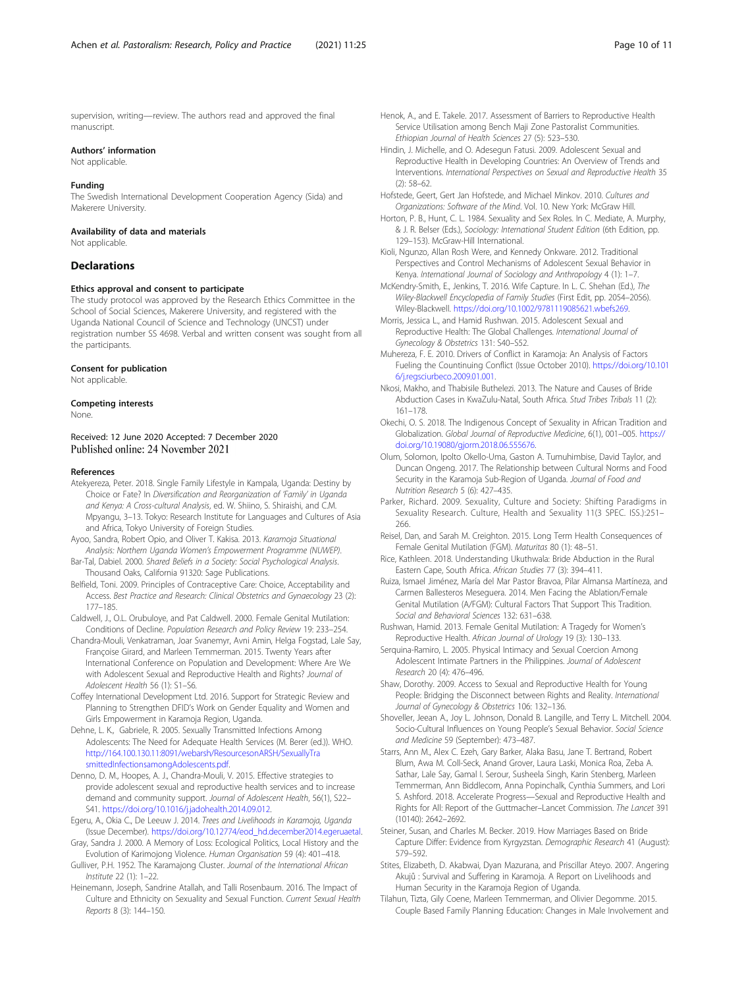<span id="page-9-0"></span>supervision, writing—review. The authors read and approved the final manuscript.

#### Authors' information

Not applicable.

#### Funding

The Swedish International Development Cooperation Agency (Sida) and Makerere University.

#### Availability of data and materials

Not applicable.

#### **Declarations**

#### Ethics approval and consent to participate

The study protocol was approved by the Research Ethics Committee in the School of Social Sciences, Makerere University, and registered with the Uganda National Council of Science and Technology (UNCST) under registration number SS 4698. Verbal and written consent was sought from all the participants.

#### Consent for publication

Not applicable.

#### Competing interests

None.

Received: 12 June 2020 Accepted: 7 December 2020

#### References

- Atekyereza, Peter. 2018. Single Family Lifestyle in Kampala, Uganda: Destiny by Choice or Fate? In Diversification and Reorganization of 'Family' in Uganda and Kenya: A Cross-cultural Analysis, ed. W. Shiino, S. Shiraishi, and C.M. Mpyangu, 3–13. Tokyo: Research Institute for Languages and Cultures of Asia and Africa, Tokyo University of Foreign Studies.
- Ayoo, Sandra, Robert Opio, and Oliver T. Kakisa. 2013. Karamoja Situational Analysis: Northern Uganda Women's Empowerment Programme (NUWEP).
- Bar-Tal, Dabiel. 2000. Shared Beliefs in a Society: Social Psychological Analysis. Thousand Oaks, California 91320: Sage Publications.
- Belfield, Toni. 2009. Principles of Contraceptive Care: Choice, Acceptability and Access. Best Practice and Research: Clinical Obstetrics and Gynaecology 23 (2): 177–185.
- Caldwell, J., O.L. Orubuloye, and Pat Caldwell. 2000. Female Genital Mutilation: Conditions of Decline. Population Research and Policy Review 19: 233–254.
- Chandra-Mouli, Venkatraman, Joar Svanemyr, Avni Amin, Helga Fogstad, Lale Say, Françoise Girard, and Marleen Temmerman. 2015. Twenty Years after International Conference on Population and Development: Where Are We with Adolescent Sexual and Reproductive Health and Rights? Journal of Adolescent Health 56 (1): S1–S6.
- Coffey International Development Ltd. 2016. Support for Strategic Review and Planning to Strengthen DFID's Work on Gender Equality and Women and Girls Empowerment in Karamoja Region, Uganda.
- Dehne, L. K., Gabriele, R. 2005. Sexually Transmitted Infections Among Adolescents: The Need for Adequate Health Services (M. Berer (ed.)). WHO. [http://164.100.130.11:8091/webarsh/ResourcesonARSH/SexuallyTra](http://164.100.130.11:8091/webarsh/ResourcesonARSH/SexuallyTrasmittedInfectionsamongAdolescents.pdf) [smittedInfectionsamongAdolescents.pdf](http://164.100.130.11:8091/webarsh/ResourcesonARSH/SexuallyTrasmittedInfectionsamongAdolescents.pdf).
- Denno, D. M., Hoopes, A. J., Chandra-Mouli, V. 2015. Effective strategies to provide adolescent sexual and reproductive health services and to increase demand and community support. Journal of Adolescent Health, 56(1), S22– S41. <https://doi.org/10.1016/j.jadohealth.2014.09.012>.
- Egeru, A., Okia C., De Leeuw J. 2014. Trees and Livelihoods in Karamoja, Uganda (Issue December). [https://doi.org/10.12774/eod\\_hd.december2014.egeruaetal](https://doi.org/10.12774/eod_hd.december2014.egeruaetal).
- Gray, Sandra J. 2000. A Memory of Loss: Ecological Politics, Local History and the Evolution of Karimojong Violence. Human Organisation 59 (4): 401–418.
- Gulliver, P.H. 1952. The Karamajong Cluster. Journal of the International African Institute 22 (1): 1–22.
- Heinemann, Joseph, Sandrine Atallah, and Talli Rosenbaum. 2016. The Impact of Culture and Ethnicity on Sexuality and Sexual Function. Current Sexual Health Reports 8 (3): 144–150.
- Henok, A., and E. Takele. 2017. Assessment of Barriers to Reproductive Health Service Utilisation among Bench Maji Zone Pastoralist Communities. Ethiopian Journal of Health Sciences 27 (5): 523–530.
- Hindin, J. Michelle, and O. Adesegun Fatusi. 2009. Adolescent Sexual and Reproductive Health in Developing Countries: An Overview of Trends and Interventions. International Perspectives on Sexual and Reproductive Health 35 (2): 58–62.
- Hofstede, Geert, Gert Jan Hofstede, and Michael Minkov. 2010. Cultures and Organizations: Software of the Mind. Vol. 10. New York: McGraw Hill.
- Horton, P. B., Hunt, C. L. 1984. Sexuality and Sex Roles. In C. Mediate, A. Murphy, & J. R. Belser (Eds.), Sociology: International Student Edition (6th Edition, pp. 129–153). McGraw-Hill International.
- Kioli, Ngunzo, Allan Rosh Were, and Kennedy Onkware. 2012. Traditional Perspectives and Control Mechanisms of Adolescent Sexual Behavior in Kenya. International Journal of Sociology and Anthropology 4 (1): 1–7.
- McKendry-Smith, E., Jenkins, T. 2016. Wife Capture. In L. C. Shehan (Ed.), The Wiley-Blackwell Encyclopedia of Family Studies (First Edit, pp. 2054–2056). Wiley-Blackwell. <https://doi.org/10.1002/9781119085621.wbefs269>.
- Morris, Jessica L., and Hamid Rushwan. 2015. Adolescent Sexual and Reproductive Health: The Global Challenges. International Journal of Gynecology & Obstetrics 131: S40–S52.
- Muhereza, F. E. 2010. Drivers of Conflict in Karamoja: An Analysis of Factors Fueling the Countinuing Conflict (Issue October 2010). [https://doi.org/10.101](https://doi.org/10.1016/j.regsciurbeco.2009.01.001) [6/j.regsciurbeco.2009.01.001](https://doi.org/10.1016/j.regsciurbeco.2009.01.001).
- Nkosi, Makho, and Thabisile Buthelezi. 2013. The Nature and Causes of Bride Abduction Cases in KwaZulu-Natal, South Africa. Stud Tribes Tribals 11 (2): 161–178.
- Okechi, O. S. 2018. The Indigenous Concept of Sexuality in African Tradition and Globalization. Global Journal of Reproductive Medicine, 6(1), 001–005. [https://](https://doi.org/10.19080/gjorm.2018.06.555676) [doi.org/10.19080/gjorm.2018.06.555676](https://doi.org/10.19080/gjorm.2018.06.555676).
- Olum, Solomon, Ipolto Okello-Uma, Gaston A. Tumuhimbise, David Taylor, and Duncan Ongeng. 2017. The Relationship between Cultural Norms and Food Security in the Karamoja Sub-Region of Uganda. Journal of Food and Nutrition Research 5 (6): 427–435.
- Parker, Richard. 2009. Sexuality, Culture and Society: Shifting Paradigms in Sexuality Research. Culture, Health and Sexuality 11(3 SPEC. ISS.):251– 266.
- Reisel, Dan, and Sarah M. Creighton. 2015. Long Term Health Consequences of Female Genital Mutilation (FGM). Maturitas 80 (1): 48–51.
- Rice, Kathleen. 2018. Understanding Ukuthwala: Bride Abduction in the Rural Eastern Cape, South Africa. African Studies 77 (3): 394–411.
- Ruiza, Ismael Jiménez, María del Mar Pastor Bravoa, Pilar Almansa Martíneza, and Carmen Ballesteros Meseguera. 2014. Men Facing the Ablation/Female Genital Mutilation (A/FGM): Cultural Factors That Support This Tradition. Social and Behavioral Sciences 132: 631–638.
- Rushwan, Hamid. 2013. Female Genital Mutilation: A Tragedy for Women's Reproductive Health. African Journal of Urology 19 (3): 130–133.
- Serquina-Ramiro, L. 2005. Physical Intimacy and Sexual Coercion Among Adolescent Intimate Partners in the Philippines. Journal of Adolescent Research 20 (4): 476–496.
- Shaw, Dorothy. 2009. Access to Sexual and Reproductive Health for Young People: Bridging the Disconnect between Rights and Reality. International Journal of Gynecology & Obstetrics 106: 132–136.
- Shoveller, Jeean A., Joy L. Johnson, Donald B. Langille, and Terry L. Mitchell. 2004. Socio-Cultural Influences on Young People's Sexual Behavior. Social Science and Medicine 59 (September): 473–487.
- Starrs, Ann M., Alex C. Ezeh, Gary Barker, Alaka Basu, Jane T. Bertrand, Robert Blum, Awa M. Coll-Seck, Anand Grover, Laura Laski, Monica Roa, Zeba A. Sathar, Lale Say, Gamal I. Serour, Susheela Singh, Karin Stenberg, Marleen Temmerman, Ann Biddlecom, Anna Popinchalk, Cynthia Summers, and Lori S. Ashford. 2018. Accelerate Progress—Sexual and Reproductive Health and Rights for All: Report of the Guttmacher–Lancet Commission. The Lancet 391 (10140): 2642–2692.
- Steiner, Susan, and Charles M. Becker. 2019. How Marriages Based on Bride Capture Differ: Evidence from Kyrgyzstan. Demographic Research 41 (August): 579–592.
- Stites, Elizabeth, D. Akabwai, Dyan Mazurana, and Priscillar Ateyo. 2007. Angering Akujů : Survival and Suffering in Karamoja. A Report on Livelihoods and Human Security in the Karamoja Region of Uganda.
- Tilahun, Tizta, Gily Coene, Marleen Temmerman, and Olivier Degomme. 2015. Couple Based Family Planning Education: Changes in Male Involvement and